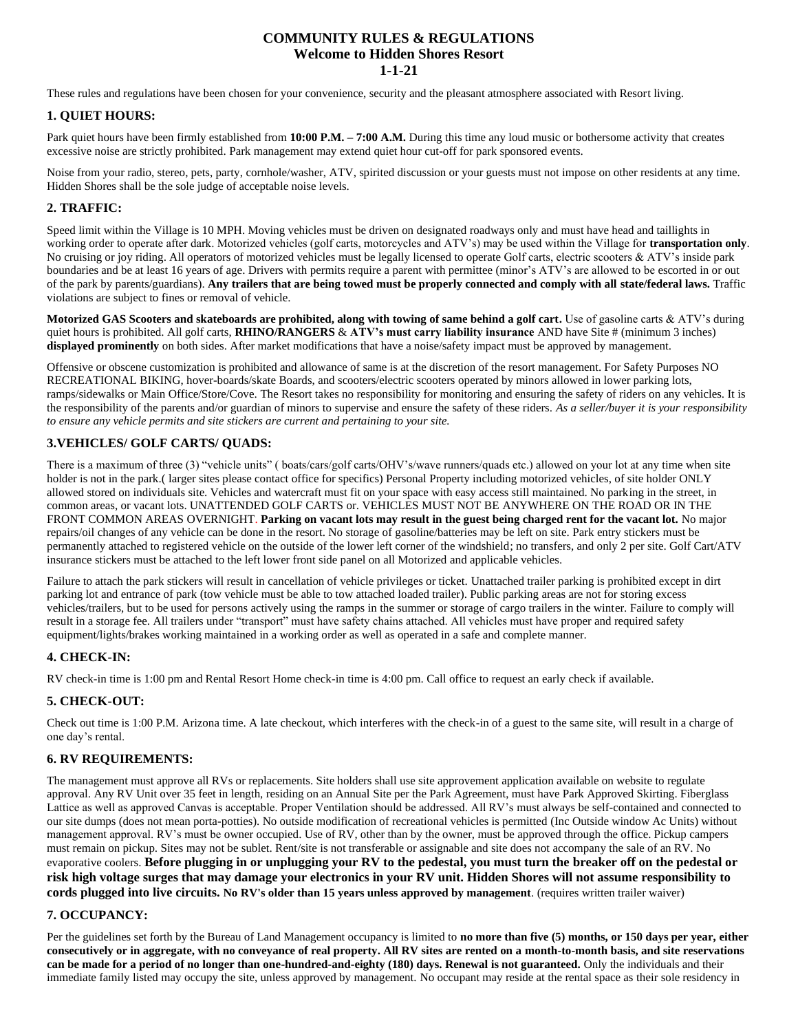## **COMMUNITY RULES & REGULATIONS Welcome to Hidden Shores Resort 1-1-21**

These rules and regulations have been chosen for your convenience, security and the pleasant atmosphere associated with Resort living.

## **1. QUIET HOURS:**

Park quiet hours have been firmly established from **10:00 P.M. – 7:00 A.M.** During this time any loud music or bothersome activity that creates excessive noise are strictly prohibited. Park management may extend quiet hour cut-off for park sponsored events.

Noise from your radio, stereo, pets, party, cornhole/washer, ATV, spirited discussion or your guests must not impose on other residents at any time. Hidden Shores shall be the sole judge of acceptable noise levels.

# **2. TRAFFIC:**

Speed limit within the Village is 10 MPH. Moving vehicles must be driven on designated roadways only and must have head and taillights in working order to operate after dark. Motorized vehicles (golf carts, motorcycles and ATV's) may be used within the Village for **transportation only**. No cruising or joy riding. All operators of motorized vehicles must be legally licensed to operate Golf carts, electric scooters & ATV's inside park boundaries and be at least 16 years of age. Drivers with permits require a parent with permittee (minor's ATV's are allowed to be escorted in or out of the park by parents/guardians). **Any trailers that are being towed must be properly connected and comply with all state/federal laws.** Traffic violations are subject to fines or removal of vehicle.

**Motorized GAS Scooters and skateboards are prohibited, along with towing of same behind a golf cart.** Use of gasoline carts & ATV's during quiet hours is prohibited. All golf carts, **RHINO/RANGERS** & **ATV's must carry liability insurance** AND have Site # (minimum 3 inches) **displayed prominently** on both sides. After market modifications that have a noise/safety impact must be approved by management.

Offensive or obscene customization is prohibited and allowance of same is at the discretion of the resort management. For Safety Purposes NO RECREATIONAL BIKING, hover-boards/skate Boards, and scooters/electric scooters operated by minors allowed in lower parking lots, ramps/sidewalks or Main Office/Store/Cove. The Resort takes no responsibility for monitoring and ensuring the safety of riders on any vehicles. It is the responsibility of the parents and/or guardian of minors to supervise and ensure the safety of these riders. *As a seller/buyer it is your responsibility to ensure any vehicle permits and site stickers are current and pertaining to your site.* 

# **3.VEHICLES/ GOLF CARTS/ QUADS:**

There is a maximum of three (3) "vehicle units" ( boats/cars/golf carts/OHV's/wave runners/quads etc.) allowed on your lot at any time when site holder is not in the park.( larger sites please contact office for specifics) Personal Property including motorized vehicles, of site holder ONLY allowed stored on individuals site. Vehicles and watercraft must fit on your space with easy access still maintained. No parking in the street, in common areas, or vacant lots. UNATTENDED GOLF CARTS or. VEHICLES MUST NOT BE ANYWHERE ON THE ROAD OR IN THE FRONT COMMON AREAS OVERNIGHT. **Parking on vacant lots may result in the guest being charged rent for the vacant lot.** No major repairs/oil changes of any vehicle can be done in the resort. No storage of gasoline/batteries may be left on site. Park entry stickers must be permanently attached to registered vehicle on the outside of the lower left corner of the windshield; no transfers, and only 2 per site. Golf Cart/ATV insurance stickers must be attached to the left lower front side panel on all Motorized and applicable vehicles.

Failure to attach the park stickers will result in cancellation of vehicle privileges or ticket. Unattached trailer parking is prohibited except in dirt parking lot and entrance of park (tow vehicle must be able to tow attached loaded trailer). Public parking areas are not for storing excess vehicles/trailers, but to be used for persons actively using the ramps in the summer or storage of cargo trailers in the winter. Failure to comply will result in a storage fee. All trailers under "transport" must have safety chains attached. All vehicles must have proper and required safety equipment/lights/brakes working maintained in a working order as well as operated in a safe and complete manner.

# **4. CHECK-IN:**

RV check-in time is 1:00 pm and Rental Resort Home check-in time is 4:00 pm. Call office to request an early check if available.

## **5. CHECK-OUT:**

Check out time is 1:00 P.M. Arizona time. A late checkout, which interferes with the check-in of a guest to the same site, will result in a charge of one day's rental.

# **6. RV REQUIREMENTS:**

The management must approve all RVs or replacements. Site holders shall use site approvement application available on website to regulate approval. Any RV Unit over 35 feet in length, residing on an Annual Site per the Park Agreement, must have Park Approved Skirting. Fiberglass Lattice as well as approved Canvas is acceptable. Proper Ventilation should be addressed. All RV's must always be self-contained and connected to our site dumps (does not mean porta-potties). No outside modification of recreational vehicles is permitted (Inc Outside window Ac Units) without management approval. RV's must be owner occupied. Use of RV, other than by the owner, must be approved through the office. Pickup campers must remain on pickup. Sites may not be sublet. Rent/site is not transferable or assignable and site does not accompany the sale of an RV. No evaporative coolers. **Before plugging in or unplugging your RV to the pedestal, you must turn the breaker off on the pedestal or risk high voltage surges that may damage your electronics in your RV unit. Hidden Shores will not assume responsibility to cords plugged into live circuits. No RV's older than 15 years unless approved by management**. (requires written trailer waiver)

## **7. OCCUPANCY:**

Per the guidelines set forth by the Bureau of Land Management occupancy is limited to **no more than five (5) months, or 150 days per year, either consecutively or in aggregate, with no conveyance of real property. All RV sites are rented on a month-to-month basis, and site reservations can be made for a period of no longer than one-hundred-and-eighty (180) days. Renewal is not guaranteed.** Only the individuals and their immediate family listed may occupy the site, unless approved by management. No occupant may reside at the rental space as their sole residency in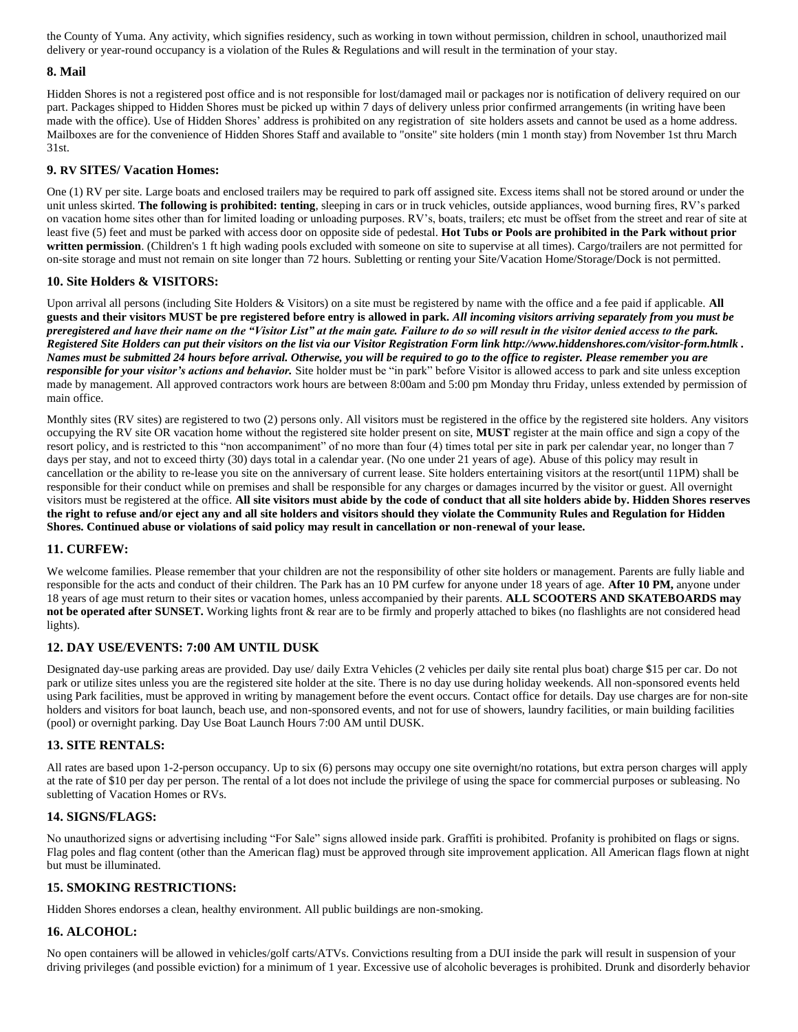the County of Yuma. Any activity, which signifies residency, such as working in town without permission, children in school, unauthorized mail delivery or year-round occupancy is a violation of the Rules & Regulations and will result in the termination of your stay.

## **8. Mail**

Hidden Shores is not a registered post office and is not responsible for lost/damaged mail or packages nor is notification of delivery required on our part. Packages shipped to Hidden Shores must be picked up within 7 days of delivery unless prior confirmed arrangements (in writing have been made with the office). Use of Hidden Shores' address is prohibited on any registration of site holders assets and cannot be used as a home address. Mailboxes are for the convenience of Hidden Shores Staff and available to "onsite" site holders (min 1 month stay) from November 1st thru March 31st.

## **9. RV SITES/ Vacation Homes:**

One (1) RV per site. Large boats and enclosed trailers may be required to park off assigned site. Excess items shall not be stored around or under the unit unless skirted. **The following is prohibited: tenting**, sleeping in cars or in truck vehicles, outside appliances, wood burning fires, RV's parked on vacation home sites other than for limited loading or unloading purposes. RV's, boats, trailers; etc must be offset from the street and rear of site at least five (5) feet and must be parked with access door on opposite side of pedestal. **Hot Tubs or Pools are prohibited in the Park without prior written permission**. (Children's 1 ft high wading pools excluded with someone on site to supervise at all times). Cargo/trailers are not permitted for on-site storage and must not remain on site longer than 72 hours. Subletting or renting your Site/Vacation Home/Storage/Dock is not permitted.

#### **10. Site Holders & VISITORS:**

Upon arrival all persons (including Site Holders & Visitors) on a site must be registered by name with the office and a fee paid if applicable. **All guests and their visitors MUST be pre registered before entry is allowed in park***. All incoming visitors arriving separately from you must be preregistered and have their name on the "Visitor List" at the main gate. Failure to do so will result in the visitor denied access to the park. Registered Site Holders can put their visitors on the list via our Visitor Registration Form link http://www.hiddenshores.com/visitor-form.htmlk . Names must be submitted 24 hours before arrival. Otherwise, you will be required to go to the office to register. Please remember you are responsible for your visitor's actions and behavior.* Site holder must be "in park" before Visitor is allowed access to park and site unless exception made by management. All approved contractors work hours are between 8:00am and 5:00 pm Monday thru Friday, unless extended by permission of main office.

Monthly sites (RV sites) are registered to two (2) persons only. All visitors must be registered in the office by the registered site holders. Any visitors occupying the RV site OR vacation home without the registered site holder present on site, **MUST** register at the main office and sign a copy of the resort policy, and is restricted to this "non accompaniment" of no more than four (4) times total per site in park per calendar year, no longer than 7 days per stay, and not to exceed thirty (30) days total in a calendar year. (No one under 21 years of age). Abuse of this policy may result in cancellation or the ability to re-lease you site on the anniversary of current lease. Site holders entertaining visitors at the resort(until 11PM) shall be responsible for their conduct while on premises and shall be responsible for any charges or damages incurred by the visitor or guest. All overnight visitors must be registered at the office. **All site visitors must abide by the code of conduct that all site holders abide by. Hidden Shores reserves the right to refuse and/or eject any and all site holders and visitors should they violate the Community Rules and Regulation for Hidden Shores. Continued abuse or violations of said policy may result in cancellation or non-renewal of your lease.**

## **11. CURFEW:**

We welcome families. Please remember that your children are not the responsibility of other site holders or management. Parents are fully liable and responsible for the acts and conduct of their children. The Park has an 10 PM curfew for anyone under 18 years of age. **After 10 PM,** anyone under 18 years of age must return to their sites or vacation homes, unless accompanied by their parents. **ALL SCOOTERS AND SKATEBOARDS may not be operated after SUNSET.** Working lights front & rear are to be firmly and properly attached to bikes (no flashlights are not considered head lights).

## **12. DAY USE/EVENTS: 7:00 AM UNTIL DUSK**

Designated day-use parking areas are provided. Day use/ daily Extra Vehicles (2 vehicles per daily site rental plus boat) charge \$15 per car. Do not park or utilize sites unless you are the registered site holder at the site. There is no day use during holiday weekends. All non-sponsored events held using Park facilities, must be approved in writing by management before the event occurs. Contact office for details. Day use charges are for non-site holders and visitors for boat launch, beach use, and non-sponsored events, and not for use of showers, laundry facilities, or main building facilities (pool) or overnight parking. Day Use Boat Launch Hours 7:00 AM until DUSK.

## **13. SITE RENTALS:**

All rates are based upon 1-2-person occupancy. Up to six (6) persons may occupy one site overnight/no rotations, but extra person charges will apply at the rate of \$10 per day per person. The rental of a lot does not include the privilege of using the space for commercial purposes or subleasing. No subletting of Vacation Homes or RVs.

## **14. SIGNS/FLAGS:**

No unauthorized signs or advertising including "For Sale" signs allowed inside park. Graffiti is prohibited. Profanity is prohibited on flags or signs. Flag poles and flag content (other than the American flag) must be approved through site improvement application. All American flags flown at night but must be illuminated.

## **15. SMOKING RESTRICTIONS:**

Hidden Shores endorses a clean, healthy environment. All public buildings are non-smoking.

## **16. ALCOHOL:**

No open containers will be allowed in vehicles/golf carts/ATVs. Convictions resulting from a DUI inside the park will result in suspension of your driving privileges (and possible eviction) for a minimum of 1 year. Excessive use of alcoholic beverages is prohibited. Drunk and disorderly behavior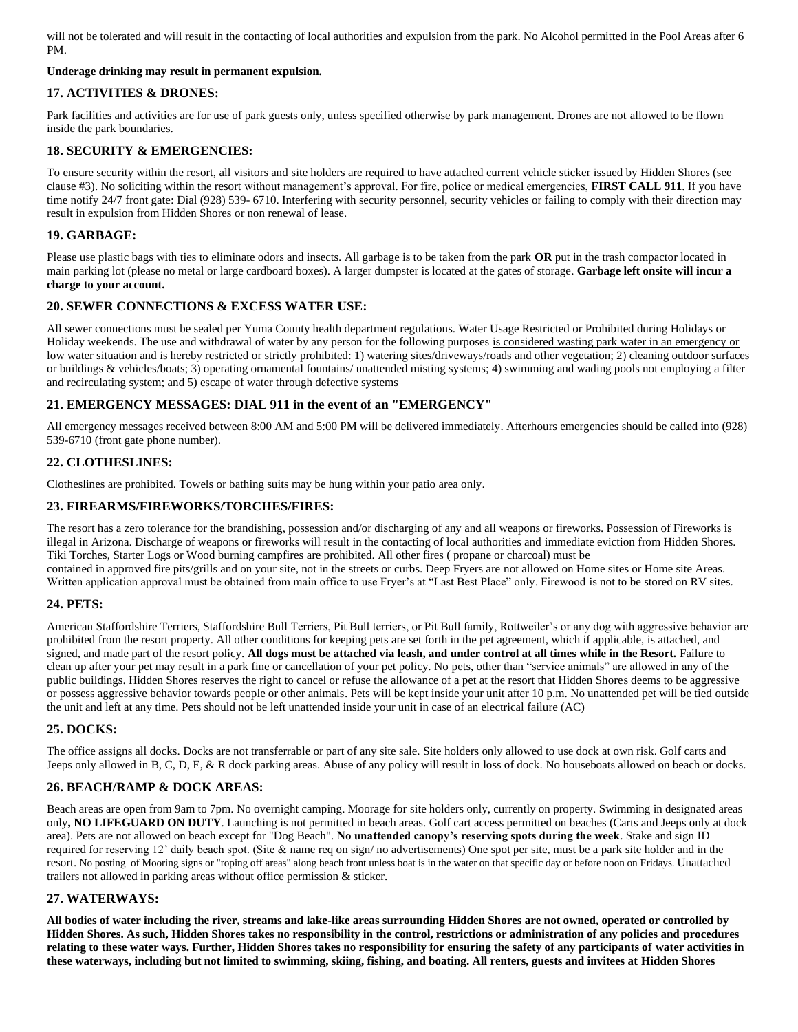will not be tolerated and will result in the contacting of local authorities and expulsion from the park. No Alcohol permitted in the Pool Areas after 6 PM.

## **Underage drinking may result in permanent expulsion.**

# **17. ACTIVITIES & DRONES:**

Park facilities and activities are for use of park guests only, unless specified otherwise by park management. Drones are not allowed to be flown inside the park boundaries.

# **18. SECURITY & EMERGENCIES:**

To ensure security within the resort, all visitors and site holders are required to have attached current vehicle sticker issued by Hidden Shores (see clause #3). No soliciting within the resort without management's approval. For fire, police or medical emergencies, **FIRST CALL 911**. If you have time notify 24/7 front gate: Dial (928) 539- 6710. Interfering with security personnel, security vehicles or failing to comply with their direction may result in expulsion from Hidden Shores or non renewal of lease.

# **19. GARBAGE:**

Please use plastic bags with ties to eliminate odors and insects. All garbage is to be taken from the park **OR** put in the trash compactor located in main parking lot (please no metal or large cardboard boxes). A larger dumpster is located at the gates of storage. **Garbage left onsite will incur a charge to your account.**

## **20. SEWER CONNECTIONS & EXCESS WATER USE:**

All sewer connections must be sealed per Yuma County health department regulations. Water Usage Restricted or Prohibited during Holidays or Holiday weekends. The use and withdrawal of water by any person for the following purposes is considered wasting park water in an emergency or low water situation and is hereby restricted or strictly prohibited: 1) watering sites/driveways/roads and other vegetation; 2) cleaning outdoor surfaces or buildings & vehicles/boats; 3) operating ornamental fountains/ unattended misting systems; 4) swimming and wading pools not employing a filter and recirculating system; and 5) escape of water through defective systems

## **21. EMERGENCY MESSAGES: DIAL 911 in the event of an "EMERGENCY"**

All emergency messages received between 8:00 AM and 5:00 PM will be delivered immediately. Afterhours emergencies should be called into (928) 539-6710 (front gate phone number).

# **22. CLOTHESLINES:**

Clotheslines are prohibited. Towels or bathing suits may be hung within your patio area only.

# **23. FIREARMS/FIREWORKS/TORCHES/FIRES:**

The resort has a zero tolerance for the brandishing, possession and/or discharging of any and all weapons or fireworks. Possession of Fireworks is illegal in Arizona. Discharge of weapons or fireworks will result in the contacting of local authorities and immediate eviction from Hidden Shores. Tiki Torches, Starter Logs or Wood burning campfires are prohibited. All other fires ( propane or charcoal) must be contained in approved fire pits/grills and on your site, not in the streets or curbs. Deep Fryers are not allowed on Home sites or Home site Areas. Written application approval must be obtained from main office to use Fryer's at "Last Best Place" only. Firewood is not to be stored on RV sites.

## **24. PETS:**

American Staffordshire Terriers, Staffordshire Bull Terriers, Pit Bull terriers, or Pit Bull family, Rottweiler's or any dog with aggressive behavior are prohibited from the resort property. All other conditions for keeping pets are set forth in the pet agreement, which if applicable, is attached, and signed, and made part of the resort policy. All dogs must be attached via leash, and under control at all times while in the Resort. Failure to clean up after your pet may result in a park fine or cancellation of your pet policy. No pets, other than "service animals" are allowed in any of the public buildings. Hidden Shores reserves the right to cancel or refuse the allowance of a pet at the resort that Hidden Shores deems to be aggressive or possess aggressive behavior towards people or other animals. Pets will be kept inside your unit after 10 p.m. No unattended pet will be tied outside the unit and left at any time. Pets should not be left unattended inside your unit in case of an electrical failure (AC)

# **25. DOCKS:**

The office assigns all docks. Docks are not transferrable or part of any site sale. Site holders only allowed to use dock at own risk. Golf carts and Jeeps only allowed in B, C, D, E, & R dock parking areas. Abuse of any policy will result in loss of dock. No houseboats allowed on beach or docks.

## **26. BEACH/RAMP & DOCK AREAS:**

Beach areas are open from 9am to 7pm. No overnight camping. Moorage for site holders only, currently on property. Swimming in designated areas only**, NO LIFEGUARD ON DUTY**. Launching is not permitted in beach areas. Golf cart access permitted on beaches (Carts and Jeeps only at dock area). Pets are not allowed on beach except for "Dog Beach". **No unattended canopy's reserving spots during the week**. Stake and sign ID required for reserving 12' daily beach spot. (Site & name req on sign/no advertisements) One spot per site, must be a park site holder and in the resort. No posting of Mooring signs or "roping off areas" along beach front unless boat is in the water on that specific day or before noon on Fridays. Unattached trailers not allowed in parking areas without office permission & sticker.

## **27. WATERWAYS:**

**All bodies of water including the river, streams and lake-like areas surrounding Hidden Shores are not owned, operated or controlled by Hidden Shores. As such, Hidden Shores takes no responsibility in the control, restrictions or administration of any policies and procedures relating to these water ways. Further, Hidden Shores takes no responsibility for ensuring the safety of any participants of water activities in these waterways, including but not limited to swimming, skiing, fishing, and boating. All renters, guests and invitees at Hidden Shores**